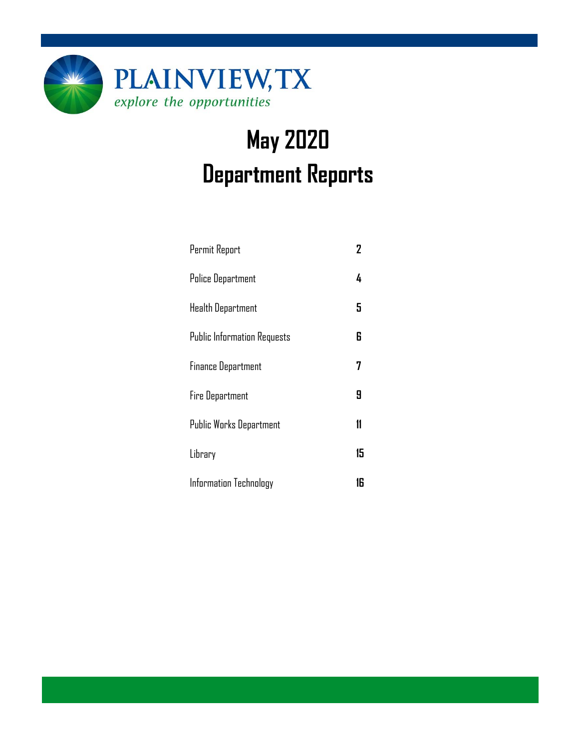

# **May 2020 Department Reports**

| Permit Report                      | 2  |
|------------------------------------|----|
| <b>Police Department</b>           | 4  |
| Health Department                  | 5  |
| <b>Public Information Requests</b> | 6  |
| <b>Finance Department</b>          | 7  |
| <b>Fire Department</b>             | 9  |
| <b>Public Works Department</b>     | 11 |
| Library                            | 15 |
| Information Technology             | 16 |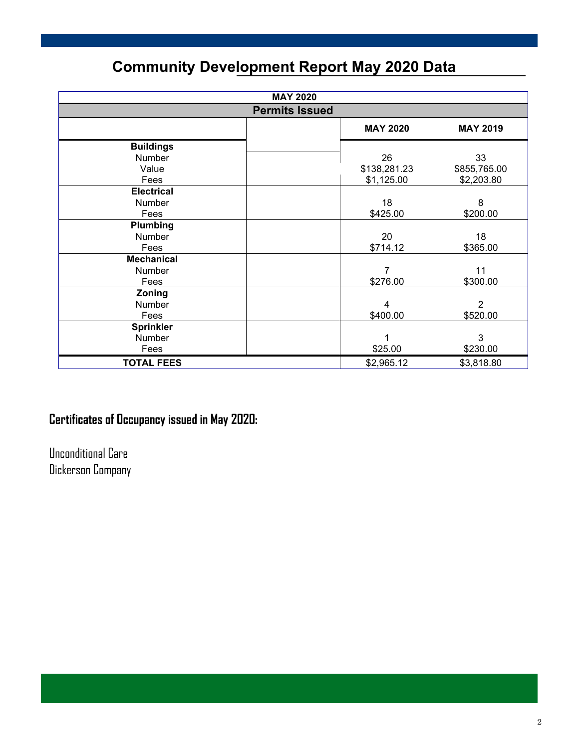### **Community Development Report May 2020 Data**

| <b>MAY 2020</b>       |  |                 |                 |  |  |  |
|-----------------------|--|-----------------|-----------------|--|--|--|
| <b>Permits Issued</b> |  |                 |                 |  |  |  |
|                       |  | <b>MAY 2020</b> | <b>MAY 2019</b> |  |  |  |
| <b>Buildings</b>      |  |                 |                 |  |  |  |
| Number                |  | 26              | 33              |  |  |  |
| Value                 |  | \$138,281.23    | \$855,765.00    |  |  |  |
| Fees                  |  | \$1,125.00      | \$2,203.80      |  |  |  |
| <b>Electrical</b>     |  |                 |                 |  |  |  |
| Number                |  | 18              | 8               |  |  |  |
| Fees                  |  | \$425.00        | \$200.00        |  |  |  |
| Plumbing              |  |                 |                 |  |  |  |
| Number                |  | 20              | 18              |  |  |  |
| Fees                  |  | \$714.12        | \$365.00        |  |  |  |
| <b>Mechanical</b>     |  |                 |                 |  |  |  |
| Number                |  | 7               | 11              |  |  |  |
| Fees                  |  | \$276.00        | \$300.00        |  |  |  |
| Zoning                |  |                 |                 |  |  |  |
| Number                |  | 4               | $\overline{2}$  |  |  |  |
| Fees                  |  | \$400.00        | \$520.00        |  |  |  |
| <b>Sprinkler</b>      |  |                 |                 |  |  |  |
| Number                |  | 1               | 3               |  |  |  |
| Fees                  |  | \$25.00         | \$230.00        |  |  |  |
| <b>TOTAL FEES</b>     |  | \$2,965.12      | \$3,818.80      |  |  |  |

### **Certificates of Occupancy issued in May 2020:**

Unconditional Care Dickerson Company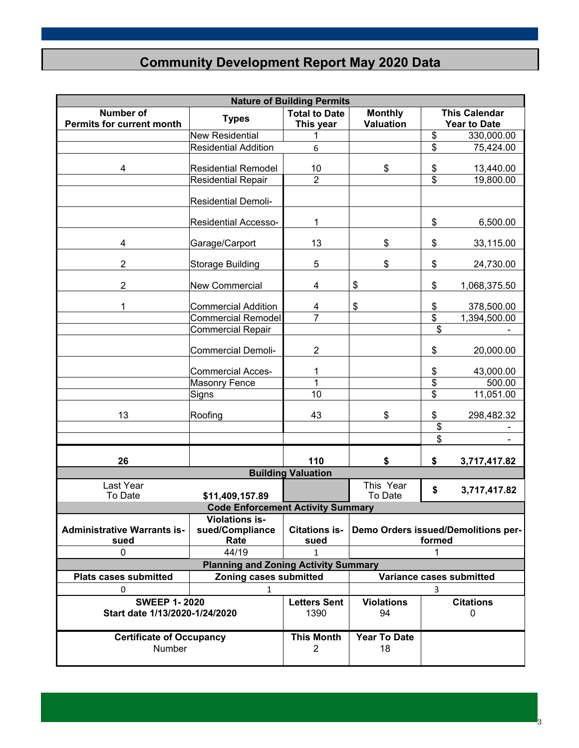### **Community Development Report May 2020 Data**

|                                                       |                                                  | <b>Nature of Building Permits</b> |                                    |                                               |                          |  |
|-------------------------------------------------------|--------------------------------------------------|-----------------------------------|------------------------------------|-----------------------------------------------|--------------------------|--|
| <b>Number of</b><br><b>Permits for current month</b>  | <b>Types</b>                                     | <b>Total to Date</b><br>This year | <b>Monthly</b><br><b>Valuation</b> | <b>This Calendar</b><br><b>Year to Date</b>   |                          |  |
|                                                       | New Residential                                  | 1                                 |                                    | \$                                            | 330,000.00               |  |
|                                                       | <b>Residential Addition</b>                      | 6                                 |                                    | \$                                            | 75,424.00                |  |
| 4                                                     | <b>Residential Remodel</b>                       | 10                                | \$                                 |                                               | 13,440.00                |  |
|                                                       | <b>Residential Repair</b>                        | $\overline{2}$                    |                                    | $\frac{6}{3}$                                 | 19,800.00                |  |
|                                                       | <b>Residential Demoli-</b>                       |                                   |                                    |                                               |                          |  |
|                                                       | <b>Residential Accesso-</b>                      | 1                                 |                                    | \$                                            | 6,500.00                 |  |
| 4                                                     | Garage/Carport                                   | 13                                | \$                                 | \$                                            | 33,115.00                |  |
| $\overline{2}$                                        | Storage Building                                 | 5                                 | \$                                 | \$                                            | 24,730.00                |  |
| $\overline{2}$                                        | <b>New Commercial</b>                            | 4                                 | \$                                 | \$                                            | 1,068,375.50             |  |
| 1                                                     | <b>Commercial Addition</b>                       | 4                                 | \$                                 | \$                                            | 378,500.00               |  |
|                                                       | <b>Commercial Remodel</b>                        | $\overline{7}$                    |                                    | $\overline{\$}$                               | 1,394,500.00             |  |
|                                                       | <b>Commercial Repair</b>                         |                                   |                                    | \$                                            |                          |  |
|                                                       | <b>Commercial Demoli-</b>                        | $\overline{2}$                    |                                    | \$                                            | 20,000.00                |  |
|                                                       | <b>Commercial Acces-</b>                         | 1                                 |                                    | \$                                            | 43,000.00                |  |
|                                                       | <b>Masonry Fence</b>                             | $\overline{1}$                    |                                    | $\overline{\mathcal{E}}$                      | 500.00                   |  |
|                                                       | Signs                                            | 10                                |                                    | $\overline{\$}$                               | 11,051.00                |  |
| 13                                                    | Roofing                                          | 43                                | \$                                 | \$                                            | 298,482.32               |  |
|                                                       |                                                  |                                   |                                    | \$                                            |                          |  |
|                                                       |                                                  |                                   |                                    | $\overline{\mathbf{S}}$                       |                          |  |
| 26                                                    |                                                  | 110                               | \$                                 | \$                                            | 3,717,417.82             |  |
|                                                       |                                                  | <b>Building Valuation</b>         |                                    |                                               |                          |  |
| Last Year<br>To Date                                  | \$11,409,157.89                                  |                                   | This Year<br>To Date               | \$                                            | 3,717,417.82             |  |
|                                                       | <b>Code Enforcement Activity Summary</b>         |                                   |                                    |                                               |                          |  |
| <b>Administrative Warrants is-</b><br>sued            | <b>Violations is-</b><br>sued/Compliance<br>Rate | <b>Citations is-</b><br>sued      |                                    | Demo Orders issued/Demolitions per-<br>formed |                          |  |
| 0                                                     | 44/19                                            | 1                                 |                                    | 1                                             |                          |  |
|                                                       | <b>Planning and Zoning Activity Summary</b>      |                                   |                                    |                                               |                          |  |
| <b>Plats cases submitted</b>                          | Zoning cases submitted                           |                                   |                                    |                                               | Variance cases submitted |  |
| 0                                                     | 1                                                |                                   |                                    | 3                                             |                          |  |
| <b>SWEEP 1-2020</b><br>Start date 1/13/2020-1/24/2020 | <b>Letters Sent</b><br>1390                      | <b>Violations</b><br>94           |                                    | <b>Citations</b><br>0                         |                          |  |
| <b>Certificate of Occupancy</b><br>Number             |                                                  | <b>This Month</b><br>2            | <b>Year To Date</b><br>18          |                                               |                          |  |

3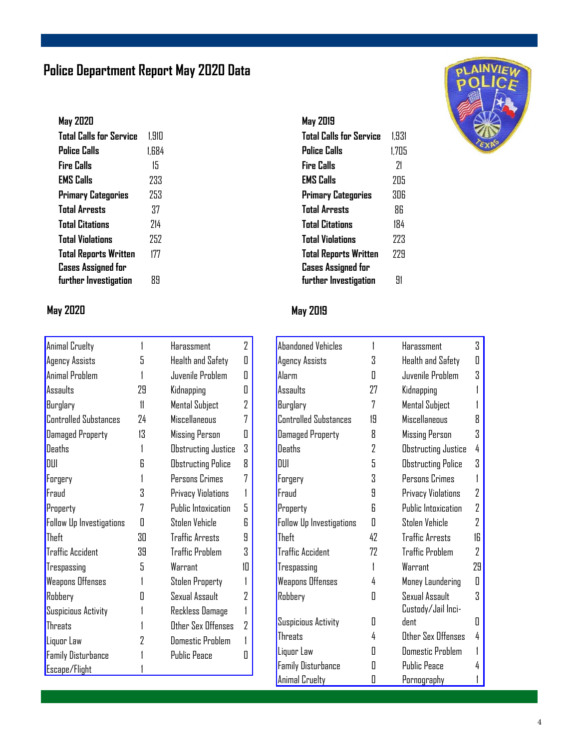### **Police Department Report May 2020 Data**

#### **May 2020**

| <b>Total Calls for Service</b> | 1.910 |
|--------------------------------|-------|
| Police Calls                   | 1.684 |
| Fire Calls                     | 15    |
| <b>EMS Calls</b>               | 233   |
| <b>Primary Categories</b>      | 253   |
| <b>Total Arrests</b>           | 37    |
| <b>Total Citations</b>         | 714   |
| <b>Total Violations</b>        | 252   |
| <b>Total Reports Written</b>   | 177   |
| <b>Cases Assigned for</b>      |       |
| further Investigation          | 89    |

### **May 2020 May 2019**

| <b>Animal Cruelty</b>        | 1  | Harassment                | 7  |
|------------------------------|----|---------------------------|----|
| Agency Assists               | 5  | Health and Safety         | П  |
| Animal Problem               | 1  | Juvenile Problem          | Π  |
| Assaults                     | 29 | Kidnapping                | П  |
| Burglary                     | 11 | Mental Subject            | 2  |
| <b>Controlled Substances</b> | 74 | Miscellanenus             | 7  |
| Damaged Property             | 13 | <b>Missing Person</b>     | Π  |
| Deaths                       | 1  | Obstructing Justice       | 3  |
| DUI                          | R  | <b>Obstructing Police</b> | Я  |
| Forgery                      |    | Persons Crimes            | 7  |
| Fraud                        | 3  | Privacy Violations        |    |
| Property                     | 7  | Public Intoxication       | 5  |
| Follow Up Investigations     | Π  | Stolen Vehicle            | R  |
| Theft                        | 30 | <b>Traffic Arrests</b>    | 9  |
| <b>Traffic Accident</b>      | 39 | <b>Traffic Problem</b>    | 3  |
| Trespassing                  | 5  | Warrant                   | 1П |
| <b>Weapons Offenses</b>      | 1  | <b>Stolen Property</b>    | 1  |
| Robbery                      | П  | Sexual Assault            | 2  |
| Suspicious Activity          |    | Reckless Damage           |    |
| <b>Threats</b>               |    | Other Sex Offenses        | 7  |
| Liquor Law                   | 7  | <b>Domestic Problem</b>   |    |
| <b>Family Disturbance</b>    |    | <b>Public Peace</b>       | Н  |
| Escape/Flight                |    |                           |    |

#### **May 2019**

| Total Calls for Service      | 1.931 |
|------------------------------|-------|
| <b>Police Calls</b>          | 1,705 |
| Fire Calls                   | 71    |
| <b>EMS Calls</b>             | 205   |
| Primary Categories           | 306   |
| <b>Total Arrests</b>         | 86    |
| <b>Total Citations</b>       | 184   |
| <b>Total Violations</b>      | 223   |
| <b>Total Reports Written</b> | 229   |
| <b>Cases Assigned for</b>    |       |
| further Investigation        | 91    |

| Abandoned Vehicles              | 1              | Harassment                | 3  |
|---------------------------------|----------------|---------------------------|----|
| Agency Assists                  | 3              | <b>Health and Safety</b>  | Π  |
| Alarm                           | Π              | Juvenile Problem          | 3  |
| Assaults                        | 27             | Kidnapping                |    |
| Burglary                        | 7              | Mental Subject            |    |
| <b>Controlled Substances</b>    | 19             | Miscellaneous             | 8  |
| <b>Damaged Property</b>         | 8              | <b>Missing Person</b>     | 3  |
| <b>Deaths</b>                   | $\overline{2}$ | Obstructing Justice       | 4  |
| DUI                             | 5              | <b>Obstructing Police</b> | 3  |
| Forgery                         | 3              | Persons Crimes            |    |
| Fraud                           | 9              | Privacy Violations        | 2  |
| Property                        | R              | Public Intoxication       | 2  |
| <b>Follow Up Investigations</b> | Π              | Stolen Vehicle            | 7  |
| Theft                           | 42             | <b>Traffic Arrests</b>    | 16 |
| <b>Traffic Accident</b>         | 72             | <b>Traffic Problem</b>    | 7  |
| Trespassing                     | 1              | Warrant                   | 29 |
| <b>Weapons Offenses</b>         | 4              | Money Laundering          | Π  |
| Robbery                         | Π              | Sexual Assault            | 3  |
|                                 |                | Custody/Jail Inci-        |    |
| Suspicious Activity             | П              | dent                      | П  |
| <b>Threats</b>                  | 4              | Other Sex Offenses        | 4  |
| Liquor Law                      | Π              | <b>Domestic Problem</b>   |    |
| <b>Family Disturbance</b>       | П              | <b>Public Peace</b>       | 4  |
| <b>Animal Cruelty</b>           | Π              | <u>Pornography</u>        |    |

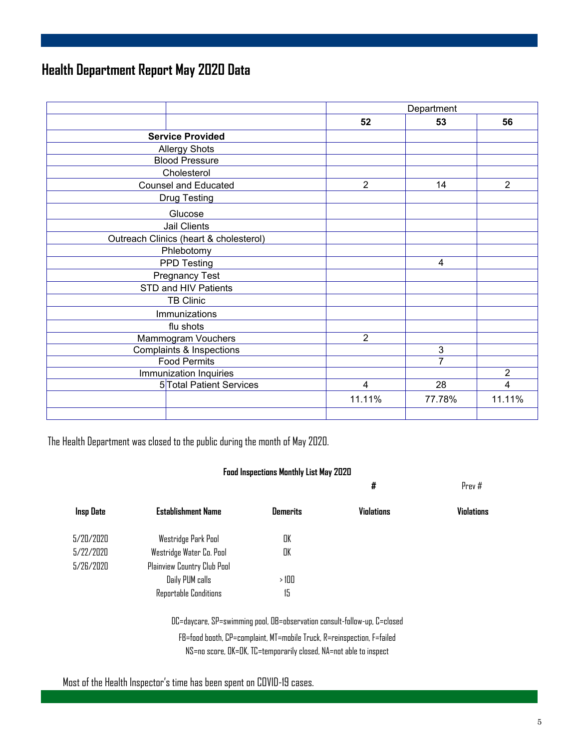### **Health Department Report May 2020 Data**

|                    |                                        |                | Department                |                |
|--------------------|----------------------------------------|----------------|---------------------------|----------------|
|                    |                                        | 52             | 53                        | 56             |
|                    | <b>Service Provided</b>                |                |                           |                |
|                    | <b>Allergy Shots</b>                   |                |                           |                |
|                    | <b>Blood Pressure</b>                  |                |                           |                |
|                    | Cholesterol                            |                |                           |                |
|                    | <b>Counsel and Educated</b>            | $\overline{2}$ | 14                        | $\overline{2}$ |
|                    | <b>Drug Testing</b>                    |                |                           |                |
|                    | Glucose                                |                |                           |                |
|                    | Jail Clients                           |                |                           |                |
|                    | Outreach Clinics (heart & cholesterol) |                |                           |                |
|                    | Phlebotomy                             |                |                           |                |
| <b>PPD Testing</b> |                                        |                | 4                         |                |
|                    | <b>Pregnancy Test</b>                  |                |                           |                |
|                    | STD and HIV Patients                   |                |                           |                |
|                    | <b>TB Clinic</b>                       |                |                           |                |
|                    | Immunizations                          |                |                           |                |
|                    | flu shots                              |                |                           |                |
|                    | Mammogram Vouchers                     | $\overline{2}$ |                           |                |
|                    | Complaints & Inspections               |                | $\ensuremath{\mathsf{3}}$ |                |
|                    | <b>Food Permits</b>                    |                | $\overline{7}$            |                |
|                    | Immunization Inquiries                 |                |                           | $\overline{2}$ |
|                    | 5 Total Patient Services               | 4              | 28                        | $\overline{4}$ |
|                    |                                        | 11.11%         | 77.78%                    | 11.11%         |
|                    |                                        |                |                           |                |

The Health Department was closed to the public during the month of May 2020.

#### **Food Inspections Monthly List May 2020**

**#** Prev #

| <b>Insp Date</b> | <b>Establishment Name</b>   | <b>Demerits</b> | <b>Vinlations</b> | <b>Violations</b> |
|------------------|-----------------------------|-----------------|-------------------|-------------------|
| 5/20/2020        | Westridge Park Pool         | OK              |                   |                   |
| 5/22/2020        | Westridge Water Co. Pool    | OK              |                   |                   |
| 5/26/2020        | Plainview Country Club Pool |                 |                   |                   |
|                  | Daily PUM calls             | >100            |                   |                   |
|                  | Reportable Conditions       | 15              |                   |                   |

DC=daycare, SP=swimming pool, OB=observation consult-follow-up, C=closed FB=food booth, CP=complaint, MT=mobile Truck, R=reinspection, F=failed NS=no score, OK=OK, TC=temporarily closed, NA=not able to inspect

Most of the Health Inspector's time has been spent on COVID-19 cases.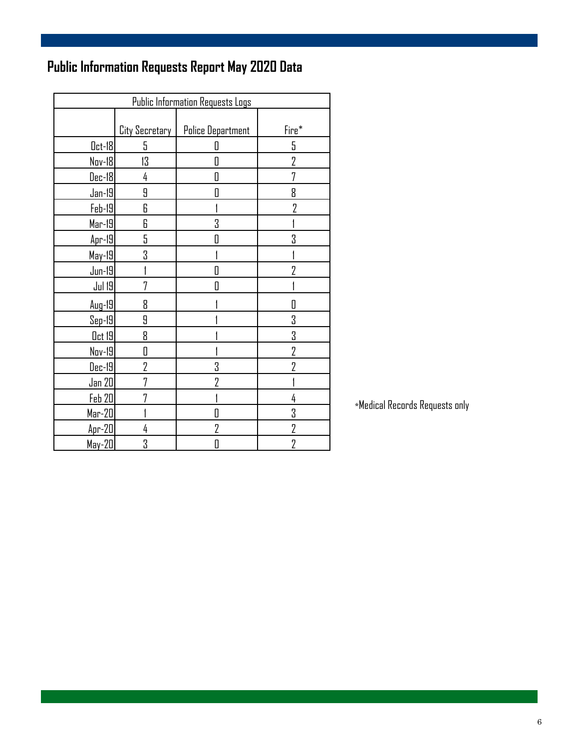### **Public Information Requests Report May 2020 Data**

| <b>Public Information Requests Logs</b> |                |                          |                |  |  |  |
|-----------------------------------------|----------------|--------------------------|----------------|--|--|--|
|                                         |                |                          |                |  |  |  |
|                                         | City Secretary | <b>Police Department</b> | Fire*          |  |  |  |
| $0$ ct-18                               | 5              | П                        | 5              |  |  |  |
| Nov-18                                  | 13             | O                        | $\overline{2}$ |  |  |  |
| Dec-18                                  | 4              | Π                        | 7              |  |  |  |
| Jan-19                                  | 9              | Π                        | 8              |  |  |  |
| Feb-19                                  | 6              |                          | 2              |  |  |  |
| Mar-19                                  | 6              | 3                        |                |  |  |  |
| Apr-19                                  | 5              | Π                        | 3              |  |  |  |
| May-19                                  | 3              |                          |                |  |  |  |
| $Jun-19$                                |                | П                        | 7              |  |  |  |
| Jul 19                                  | 7              | П                        |                |  |  |  |
| $Aug-19$                                | 8              |                          |                |  |  |  |
| $Sep-19$                                | 9              |                          | 3              |  |  |  |
| Oct 19                                  | 8              |                          | 3              |  |  |  |
| Nov-19                                  | 0              |                          | $\overline{2}$ |  |  |  |
| Dec-19                                  | $\overline{2}$ | 3                        | 7              |  |  |  |
| Jan 20                                  | 7              | 2                        |                |  |  |  |
| Feb 20                                  |                |                          | 4              |  |  |  |
| Mar-20                                  |                | 0                        | 3              |  |  |  |
| $Apr-20$                                | 4              | $\overline{2}$           | $\overline{2}$ |  |  |  |
| $May-20$                                | 3              | Π                        | $\overline{2}$ |  |  |  |

 $\,$ \*Medical Records Requests only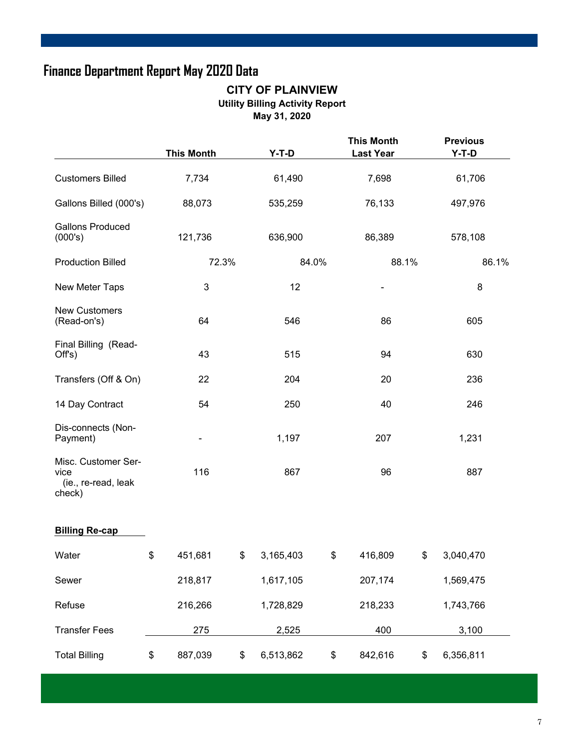### **Finance Department Report May 2020 Data**

#### **CITY OF PLAINVIEW Utility Billing Activity Report May 31, 2020**

|                                                              |    | <b>This Month</b> |     | $Y-T-D$   |     | <b>This Month</b><br><b>Last Year</b> |       | <b>Previous</b><br>$Y-T-D$ |       |
|--------------------------------------------------------------|----|-------------------|-----|-----------|-----|---------------------------------------|-------|----------------------------|-------|
| <b>Customers Billed</b>                                      |    | 7,734             |     | 61,490    |     | 7,698                                 |       | 61,706                     |       |
| Gallons Billed (000's)                                       |    | 88,073            |     | 535,259   |     | 76,133                                |       | 497,976                    |       |
| <b>Gallons Produced</b><br>(000's)                           |    | 121,736           |     | 636,900   |     | 86,389                                |       | 578,108                    |       |
| <b>Production Billed</b>                                     |    | 72.3%             |     | 84.0%     |     | 88.1%                                 |       |                            | 86.1% |
| New Meter Taps                                               |    | 3                 |     | 12        |     |                                       |       | 8                          |       |
| <b>New Customers</b><br>(Read-on's)                          |    | 64                |     | 546       |     | 86                                    |       | 605                        |       |
| Final Billing (Read-<br>Off's)                               |    | 43                |     | 515       |     | 94                                    |       | 630                        |       |
| Transfers (Off & On)                                         | 22 |                   | 204 |           |     | 20                                    |       | 236                        |       |
| 14 Day Contract                                              |    | 54                |     | 250       |     | 40                                    |       | 246                        |       |
| Dis-connects (Non-<br>Payment)                               |    |                   |     | 1,197     | 207 |                                       | 1,231 |                            |       |
| Misc. Customer Ser-<br>vice<br>(ie., re-read, leak<br>check) |    | 116               | 867 |           | 96  |                                       | 887   |                            |       |
| <b>Billing Re-cap</b>                                        |    |                   |     |           |     |                                       |       |                            |       |
| Water                                                        | \$ | 451,681           | \$  | 3,165,403 | \$  | 416,809                               | \$    | 3,040,470                  |       |
| Sewer                                                        |    | 218,817           |     | 1,617,105 |     | 207,174                               |       | 1,569,475                  |       |
| Refuse                                                       |    | 216,266           |     | 1,728,829 |     | 218,233                               |       | 1,743,766                  |       |
| <b>Transfer Fees</b>                                         |    | 275               |     | 2,525     |     | 400                                   |       | 3,100                      |       |
| <b>Total Billing</b>                                         | \$ | 887,039           | \$  | 6,513,862 | \$  | 842,616                               | \$    | 6,356,811                  |       |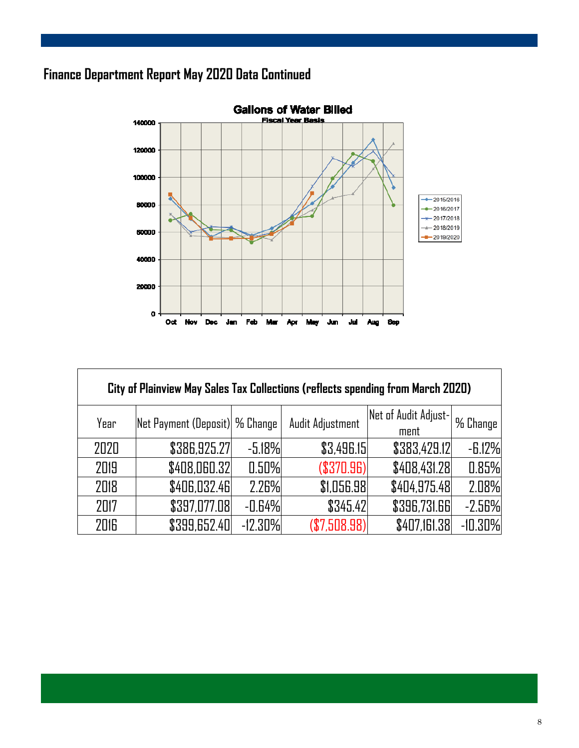### **Finance Department Report May 2020 Data Continued**



| City of Plainview May Sales Tax Collections (reflects spending from March 2020) |                                       |           |                  |                      |            |  |  |  |  |
|---------------------------------------------------------------------------------|---------------------------------------|-----------|------------------|----------------------|------------|--|--|--|--|
| Year                                                                            | <b>Net Payment (Deposit)</b> % Change |           | Audit Adjustment | Net of Audit Adjust- | l % Change |  |  |  |  |
|                                                                                 |                                       |           |                  | ment                 |            |  |  |  |  |
| 2020                                                                            | \$386,925.27                          | $-5.18%$  | \$3,496.15       | \$383,429.12         | $-6.12%$   |  |  |  |  |
| 2019                                                                            | \$408,060.32                          | 0.50%     | (\$370.96)       | \$408,431.28         | 0.85%      |  |  |  |  |
| 2018                                                                            | \$406,032.46                          | 2.26%     | \$1,056.98       | \$404,975.48         | 2.08%      |  |  |  |  |
| 2017                                                                            | \$397,077.08                          | $-0.64%$  | \$345.42         | \$396,731.66         | $-2.56%$   |  |  |  |  |
| 2016                                                                            | \$399,652.40                          | $-12.30%$ | (\$7,508.98)     | \$407,161.38         | $-10.30%$  |  |  |  |  |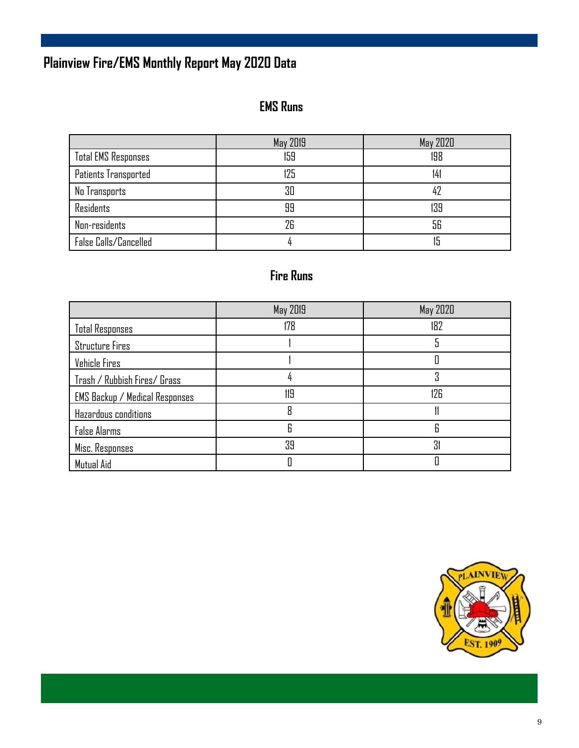### **Plainview Fire/EMS Monthly Report May 2020 Data**

### **EMS Runs**

|                            | May 2019 | May 2020 |
|----------------------------|----------|----------|
| <b>Total EMS Responses</b> | 159      | 198      |
| Patients Transported       | 125      | 141      |
| No Transports              | 30       | 42       |
| <b>Residents</b>           | 99       | 139      |
| Non-residents              | 26       | 56       |
| False Calls/Cancelled      |          | ١J       |

### **Fire Runs**

|                                       | May 2019 | May 2020 |
|---------------------------------------|----------|----------|
| <b>Total Responses</b>                | 178      | 182      |
| <b>Structure Fires</b>                |          |          |
| Vehicle Fires                         |          |          |
| Trash / Rubbish Fires/ Grass          |          | 3        |
| <b>EMS Backup / Medical Responses</b> | 119      | 126      |
| Hazardous conditions                  | Я        |          |
| <b>False Alarms</b>                   | 6        | Б        |
| Misc. Responses                       | 39       | 31       |
| Mutual Aid                            |          |          |

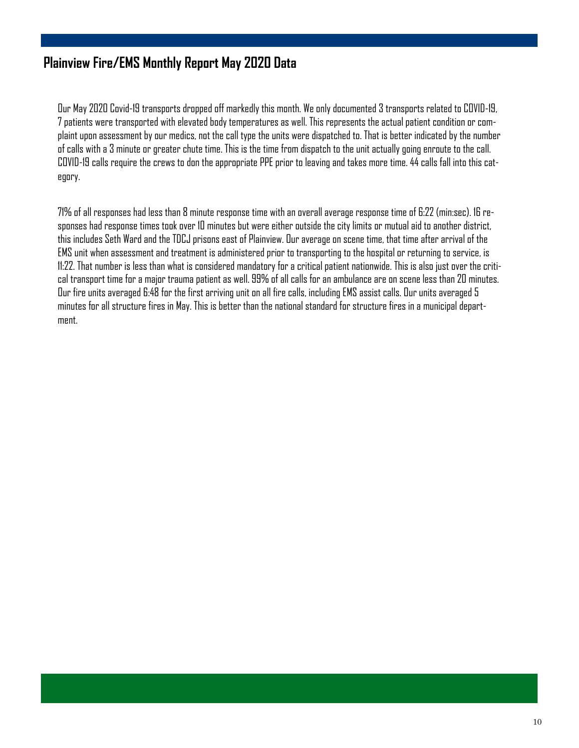### **Plainview Fire/EMS Monthly Report May 2020 Data**

Our May 2020 Covid-19 transports dropped off markedly this month. We only documented 3 transports related to COVID-19, 7 patients were transported with elevated body temperatures as well. This represents the actual patient condition or complaint upon assessment by our medics, not the call type the units were dispatched to. That is better indicated by the number of calls with a 3 minute or greater chute time. This is the time from dispatch to the unit actually going enroute to the call. COVID-19 calls require the crews to don the appropriate PPE prior to leaving and takes more time. 44 calls fall into this category.

71% of all responses had less than 8 minute response time with an overall average response time of 6:22 (min:sec). 16 responses had response times took over 10 minutes but were either outside the city limits or mutual aid to another district, this includes Seth Ward and the TDCJ prisons east of Plainview. Our average on scene time, that time after arrival of the EMS unit when assessment and treatment is administered prior to transporting to the hospital or returning to service, is 11:22. That number is less than what is considered mandatory for a critical patient nationwide. This is also just over the critical transport time for a major trauma patient as well. 99% of all calls for an ambulance are on scene less than 20 minutes. Our fire units averaged 6:48 for the first arriving unit on all fire calls, including EMS assist calls. Our units averaged 5 minutes for all structure fires in May. This is better than the national standard for structure fires in a municipal department.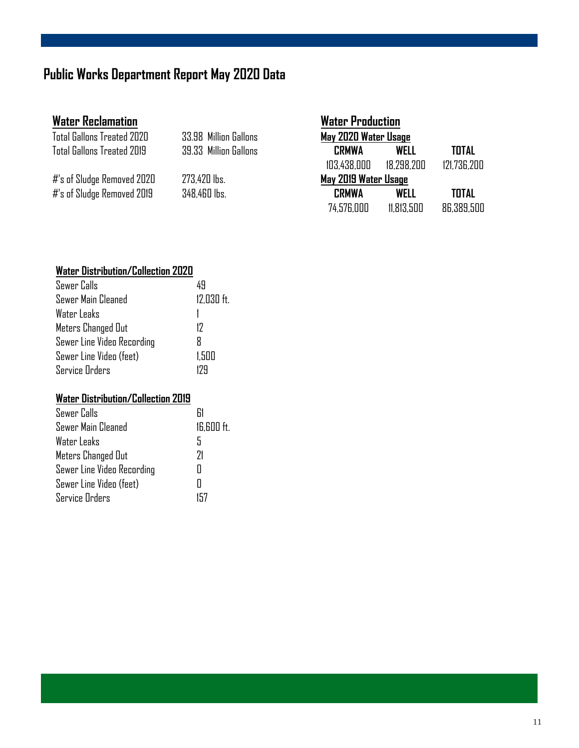### **Public Works Department Report May 2020 Data**

### **Water Reclamation**

| Total Gallons Treated 2020 | 33.98 Million Gallons |
|----------------------------|-----------------------|
| Total Gallons Treated 2019 | 39.33 Million Gallons |
| #'s of Sludge Removed 2020 | 273.420 lbs.          |
| #'s of Sludge Removed 2019 | 348.460 lbs.          |

| <b>Water Production</b> |            |              |
|-------------------------|------------|--------------|
| May 2020 Water Usage    |            |              |
| <b>CRMWA</b>            | WELL       | TOTAL        |
| 103,438,000             | 18.298.200 | 121.736.200  |
| May 2019 Water Usage    |            |              |
| <b>CRMWA</b>            | WELL       | <b>TOTAL</b> |
| 74,576,000              | 11.813.500 | 86,389,500   |

#### **Water Distribution/Collection 2020**

| Sewer Calls                | 49         |
|----------------------------|------------|
| Sewer Main Cleaned         | 12,030 ft. |
| Water Leaks                |            |
| Meters Changed Out         | 17         |
| Sewer Line Video Recording | R          |
| Sewer Line Video (feet)    | 1.500      |
| <b>Service Orders</b>      | 174        |

#### **Water Distribution/Collection 2019**

| Sewer Calls                |            |
|----------------------------|------------|
| Sewer Main Cleaned         | 16,600 ft. |
| Water Leaks                | 5          |
| Meters Changed Out         | 71         |
| Sewer Line Video Recording | Ш          |
| Sewer Line Video (feet)    | Ш          |
| <b>Service Orders</b>      | 157        |
|                            |            |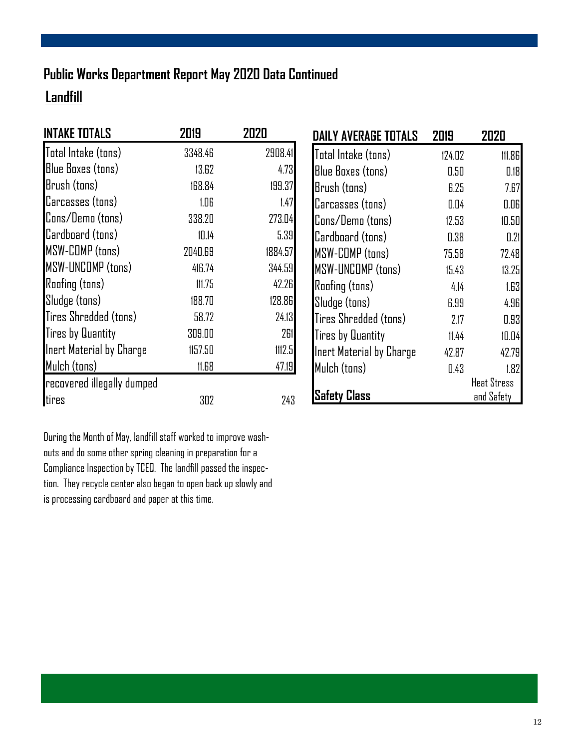## **Public Works Department Report May 2020 Data Continued**

### **Landfill**

| <b>INTAKE TOTALS</b>       | 2019    | 2020    | <b>DAILY AVERAGE TOTALS</b> |
|----------------------------|---------|---------|-----------------------------|
| Total Intake (tons)        | 3348.46 | 2908.41 | Total Intake (tons)         |
| <b>Blue Boxes (tons)</b>   | 13.62   | 4.73    | <b>Blue Boxes (tons)</b>    |
| Brush (tons)               | 168.84  | 199.37  | Brush (tons)                |
| Carcasses (tons)           | 1.06    | 1.47    | Carcasses (tons)            |
| Cons/Demo (tons)           | 338.20  | 273.04  | Cons/Demo (tons)            |
| Cardboard (tons)           | 10.14   | 5.39    | Cardboard (tons)            |
| <b>MSW-COMP</b> (tons)     | 2040.69 | 1884.57 | <b>MSW-COMP</b> (tons)      |
| <b>MSW-UNCOMP</b> (tons)   | 416.74  | 344.59  | MSW-UNCOMP (tons)           |
| <b>Roofing (tons)</b>      | 111.75  | 42.26   | <b>Roofing (tons)</b>       |
| Sludge (tons)              | 188.70  | 128.86  | Sludge (tons)               |
| Tires Shredded (tons)      | 58.72   | 24.13   | Tires Shredded (tons)       |
| <b>Tires by Quantity</b>   | 309.00  | 261     | <b>Tires by Quantity</b>    |
| Inert Material by Charge   | 1157.50 | 1112.5  | Inert Material by Charge    |
| Mulch (tons)               | 11.68   | 47.19   | Mulch (tons)                |
| recovered illegally dumped |         |         |                             |
| tires                      | 302     | 243     | Safety Class                |

During the Month of May, landfill staff worked to improve washouts and do some other spring cleaning in preparation for a Compliance Inspection by TCEQ. The landfill passed the inspection. They recycle center also began to open back up slowly and is processing cardboard and paper at this time.

| <b>DAILY AVERAGE TOTALS</b> | 2019   | 2020               |
|-----------------------------|--------|--------------------|
| Total Intake (tons)         | 124.02 | 111.86             |
| Blue Boxes (tons)           | 0.50   | 0.18               |
| Brush (tons)                | 6.25   | 7.67               |
| Carcasses (tons)            | 0.04   | 0.06               |
| Cons/Demo (tons)            | 12.53  | 10.50              |
| Cardboard (tons)            | 0.38   | 0.21               |
| MSW-COMP (tons)             | 75.58  | 72.48              |
| MSW-UNCOMP (tons)           | 15.43  | 13.25              |
| Roofing (tons)              | 4.14   | 1.63               |
| Sludge (tons)               | 6.99   | 4.96               |
| Tires Shredded (tons)       | 2.17   | 0.93               |
| <b>Tires by Quantity</b>    | 11.44  | 10.04              |
| Inert Material by Charge    | 42.87  | 42.79              |
| Mulch (tons)                | 0.43   | 1.82               |
|                             |        | <b>Heat Stress</b> |
| Satety Class                |        | and Safety         |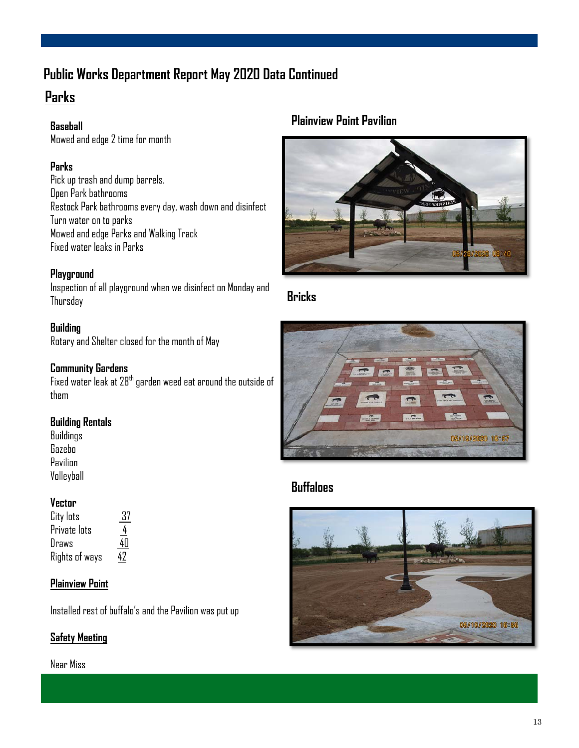### **Public Works Department Report May 2020 Data Continued**

### **Parks**

#### **Baseball**

Mowed and edge 2 time for month

#### **Parks**

Pick up trash and dump barrels. Open Park bathrooms Restock Park bathrooms every day, wash down and disinfect Turn water on to parks Mowed and edge Parks and Walking Track Fixed water leaks in Parks

#### **Playground**

Inspection of all playground when we disinfect on Monday and Thursday

#### **Building**

Rotary and Shelter closed for the month of May

#### **Community Gardens**

Fixed water leak at 28<sup>th</sup> garden weed eat around the outside of them

#### **Building Rentals**

**Buildings** Gazebo Pavilion Volleyball

#### **Vector**

| City lots      | 37 |
|----------------|----|
| Private lots   | 4  |
| Draws          | 4Π |
| Rights of ways | 47 |

#### **Plainview Point**

Installed rest of buffalo's and the Pavilion was put up

#### **Safety Meeting**

Near Miss

#### **Plainview Point Pavilion**



#### **Bricks**



#### **Buffaloes**

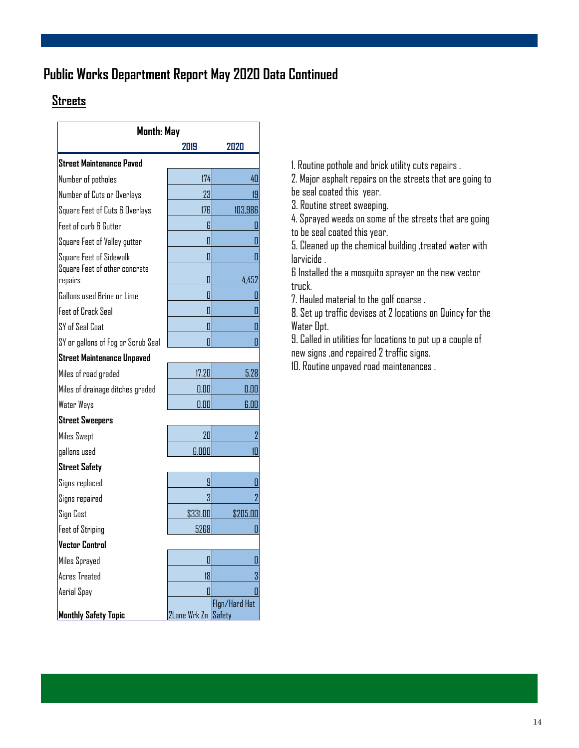### **Public Works Department Report May 2020 Data Continued**

#### **Streets**

| Month: May                                                          |              |                         |
|---------------------------------------------------------------------|--------------|-------------------------|
|                                                                     | 2019         | 2020                    |
| Street Maintenance Paved                                            |              |                         |
| Number of potholes                                                  | 174          | 40                      |
| Number of Cuts or Overlays                                          | 23           | 19                      |
| Square Feet of Cuts & Overlays                                      | 176          | 103,986                 |
| Feet of curb & Gutter                                               | 6            | L                       |
| Square Feet of Valley gutter                                        | 0            | П                       |
| Square Feet of Sidewalk<br>Square Feet of other concrete<br>repairs | L<br>L       | L<br>4,452              |
| Gallons used Brine or Lime                                          | 0            | Ш                       |
| Feet of Crack Seal                                                  | L            | П                       |
| SY of Seal Coat                                                     | 0            | П                       |
| SY or gallons of Fog or Scrub Seal                                  | П            | II                      |
| <b>Street Maintenance Unpaved</b>                                   |              |                         |
| Miles of road graded                                                | 17.20        | 5.28                    |
| Miles of drainage ditches graded                                    | 0.00         | 0.00                    |
| Water Ways                                                          | 0.00         | 6.00                    |
| <b>Street Sweepers</b>                                              |              |                         |
| <b>Miles Swept</b>                                                  | 20           | $\overline{2}$          |
| gallons used                                                        | 6.000        | 10                      |
| <b>Street Safety</b>                                                |              |                         |
| Signs replaced                                                      | 9            | L                       |
| Signs repaired                                                      | 3            | $\overline{2}$          |
| Sign Cost                                                           | \$331.00     | \$205.00                |
| <b>Feet of Striping</b>                                             | 5268         | L                       |
| Vector Control                                                      |              |                         |
| Miles Sprayed                                                       | 0            | O                       |
| <b>Acres Treated</b>                                                | 18           | 3                       |
| Aerial Spay                                                         | П            | П                       |
| <b>Monthly Safety Topic</b>                                         | 2Lane Wrk Zn | Flgn/Hard Hat<br>Safety |

1. Routine pothole and brick utility cuts repairs .

2. Major asphalt repairs on the streets that are going to be seal coated this year.

3. Routine street sweeping.

4. Sprayed weeds on some of the streets that are going to be seal coated this year.

5. Cleaned up the chemical building ,treated water with larvicide .

6 Installed the a mosquito sprayer on the new vector truck.

7. Hauled material to the golf coarse .

8. Set up traffic devises at 2 locations on Quincy for the Water Dpt.

9. Called in utilities for locations to put up a couple of new signs ,and repaired 2 traffic signs.

10. Routine unpaved road maintenances .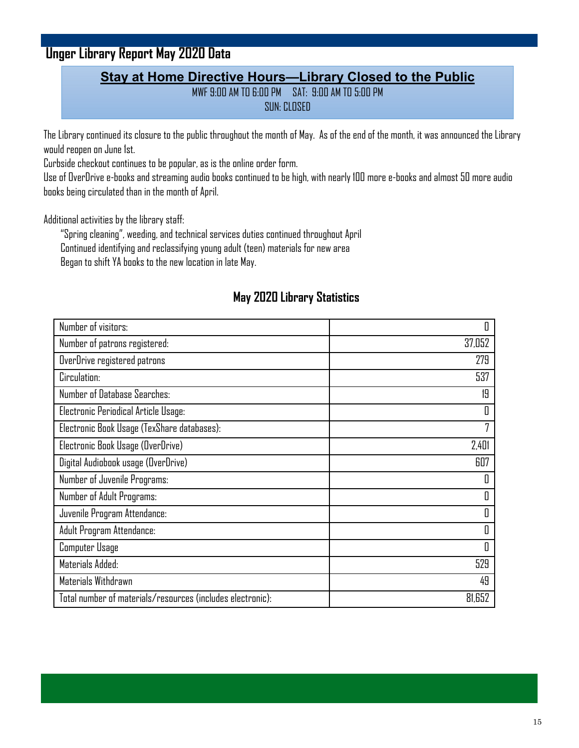### **Unger Library Report May 2020 Data**

#### **Stay at Home Directive Hours—Library Closed to the Public**

MWF 9:00 AM TO 6:00 PM SAT: 9:00 AM TO 5:00 PM SUN: CLOSED

The Library continued its closure to the public throughout the month of May. As of the end of the month, it was announced the Library would reopen on June 1st.

Curbside checkout continues to be popular, as is the online order form.

Use of OverDrive e-books and streaming audio books continued to be high, with nearly 100 more e-books and almost 50 more audio books being circulated than in the month of April.

Additional activities by the library staff:

"Spring cleaning", weeding, and technical services duties continued throughout April Continued identifying and reclassifying young adult (teen) materials for new area Began to shift YA books to the new location in late May.

#### **May 2020 Library Statistics**

| Number of visitors:                                        | 0      |
|------------------------------------------------------------|--------|
| Number of patrons registered:                              | 37,052 |
| OverDrive registered patrons                               | 279    |
| Circulation:                                               | 537    |
| Number of Database Searches:                               | 19     |
| Electronic Periodical Article Usage:                       | 0      |
| Electronic Book Usage (TexShare databases):                | 7      |
| Electronic Book Usage (OverDrive)                          | 2,401  |
| Digital Audiobook usage (OverDrive)                        | 607    |
| Number of Juvenile Programs:                               | 0      |
| Number of Adult Programs:                                  | 0      |
| Juvenile Program Attendance:                               | 0      |
| Adult Program Attendance:                                  |        |
| Computer Usage                                             | 0      |
| Materials Added:                                           | 529    |
| Materials Withdrawn                                        | 49     |
| Total number of materials/resources (includes electronic): | 81,652 |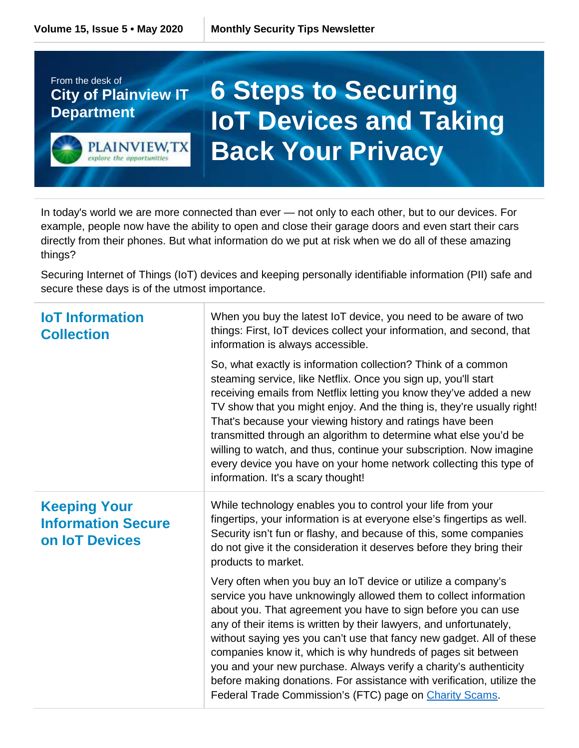#### From the desk of **City of Plainview IT Department**

PLAINVIEW.TX explore the apportunities

# **6 Steps to Securing IoT Devices and Taking Back Your Privacy**

In today's world we are more connected than ever — not only to each other, but to our devices. For example, people now have the ability to open and close their garage doors and even start their cars directly from their phones. But what information do we put at risk when we do all of these amazing things?

Securing Internet of Things (IoT) devices and keeping personally identifiable information (PII) safe and secure these days is of the utmost importance.

| <b>IoT Information</b><br><b>Collection</b>                        | When you buy the latest IoT device, you need to be aware of two<br>things: First, IoT devices collect your information, and second, that<br>information is always accessible.                                                                                                                                                                                                                                                                                                                                                                                                                                              |
|--------------------------------------------------------------------|----------------------------------------------------------------------------------------------------------------------------------------------------------------------------------------------------------------------------------------------------------------------------------------------------------------------------------------------------------------------------------------------------------------------------------------------------------------------------------------------------------------------------------------------------------------------------------------------------------------------------|
|                                                                    | So, what exactly is information collection? Think of a common<br>steaming service, like Netflix. Once you sign up, you'll start<br>receiving emails from Netflix letting you know they've added a new<br>TV show that you might enjoy. And the thing is, they're usually right!<br>That's because your viewing history and ratings have been<br>transmitted through an algorithm to determine what else you'd be<br>willing to watch, and thus, continue your subscription. Now imagine<br>every device you have on your home network collecting this type of<br>information. It's a scary thought!                        |
| <b>Keeping Your</b><br><b>Information Secure</b><br>on IoT Devices | While technology enables you to control your life from your<br>fingertips, your information is at everyone else's fingertips as well.<br>Security isn't fun or flashy, and because of this, some companies<br>do not give it the consideration it deserves before they bring their<br>products to market.                                                                                                                                                                                                                                                                                                                  |
|                                                                    | Very often when you buy an IoT device or utilize a company's<br>service you have unknowingly allowed them to collect information<br>about you. That agreement you have to sign before you can use<br>any of their items is written by their lawyers, and unfortunately,<br>without saying yes you can't use that fancy new gadget. All of these<br>companies know it, which is why hundreds of pages sit between<br>you and your new purchase. Always verify a charity's authenticity<br>before making donations. For assistance with verification, utilize the<br>Federal Trade Commission's (FTC) page on Charity Scams. |